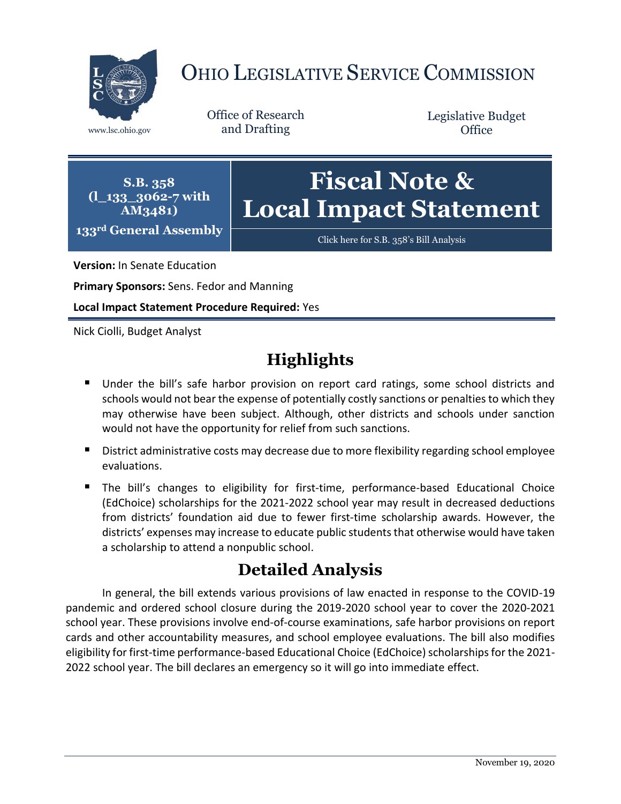

# OHIO LEGISLATIVE SERVICE COMMISSION

Office of Research www.lsc.ohio.gov and Drafting

Legislative Budget **Office** 

**S.B. 358 (l\_133\_3062-7 with AM3481) 133rd General Assembly**

# **Fiscal Note & Local Impact Statement**

[Click here for S.B. 358](https://www.legislature.ohio.gov/legislation/legislation-documents?id=GA133-SB-358)'s Bill Analysis

**Version:** In Senate Education

**Primary Sponsors:** Sens. Fedor and Manning

**Local Impact Statement Procedure Required:** Yes

Nick Ciolli, Budget Analyst

# **Highlights**

- Under the bill's safe harbor provision on report card ratings, some school districts and schools would not bear the expense of potentially costly sanctions or penalties to which they may otherwise have been subject. Although, other districts and schools under sanction would not have the opportunity for relief from such sanctions.
- **District administrative costs may decrease due to more flexibility regarding school employee** evaluations.
- **The bill's changes to eligibility for first-time, performance-based Educational Choice** (EdChoice) scholarships for the 2021-2022 school year may result in decreased deductions from districts' foundation aid due to fewer first-time scholarship awards. However, the districts' expenses may increase to educate public studentsthat otherwise would have taken a scholarship to attend a nonpublic school.

# **Detailed Analysis**

In general, the bill extends various provisions of law enacted in response to the COVID-19 pandemic and ordered school closure during the 2019-2020 school year to cover the 2020-2021 school year. These provisions involve end-of-course examinations, safe harbor provisions on report cards and other accountability measures, and school employee evaluations. The bill also modifies eligibility for first-time performance-based Educational Choice (EdChoice) scholarships for the 2021-2022 school year. The bill declares an emergency so it will go into immediate effect.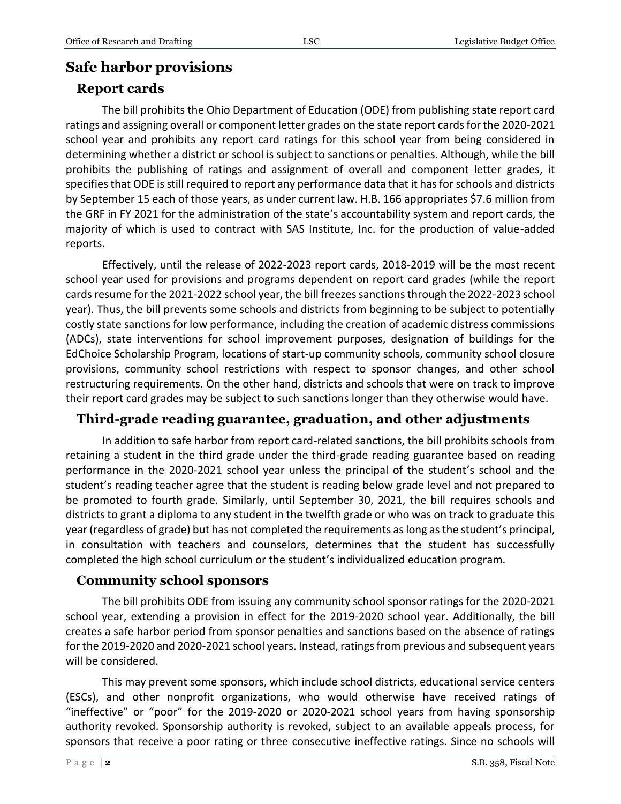## **Safe harbor provisions**

#### **Report cards**

The bill prohibits the Ohio Department of Education (ODE) from publishing state report card ratings and assigning overall or component letter grades on the state report cards for the 2020-2021 school year and prohibits any report card ratings for this school year from being considered in determining whether a district or school is subject to sanctions or penalties. Although, while the bill prohibits the publishing of ratings and assignment of overall and component letter grades, it specifies that ODE is still required to report any performance data that it has for schools and districts by September 15 each of those years, as under current law. H.B. 166 appropriates \$7.6 million from the GRF in FY 2021 for the administration of the state's accountability system and report cards, the majority of which is used to contract with SAS Institute, Inc. for the production of value-added reports.

Effectively, until the release of 2022-2023 report cards, 2018-2019 will be the most recent school year used for provisions and programs dependent on report card grades (while the report cards resume for the 2021-2022 school year, the bill freezes sanctions through the 2022-2023 school year). Thus, the bill prevents some schools and districts from beginning to be subject to potentially costly state sanctions for low performance, including the creation of academic distress commissions (ADCs), state interventions for school improvement purposes, designation of buildings for the EdChoice Scholarship Program, locations of start-up community schools, community school closure provisions, community school restrictions with respect to sponsor changes, and other school restructuring requirements. On the other hand, districts and schools that were on track to improve their report card grades may be subject to such sanctions longer than they otherwise would have.

#### **Third-grade reading guarantee, graduation, and other adjustments**

In addition to safe harbor from report card-related sanctions, the bill prohibits schools from retaining a student in the third grade under the third-grade reading guarantee based on reading performance in the 2020-2021 school year unless the principal of the student's school and the student's reading teacher agree that the student is reading below grade level and not prepared to be promoted to fourth grade. Similarly, until September 30, 2021, the bill requires schools and districts to grant a diploma to any student in the twelfth grade or who was on track to graduate this year (regardless of grade) but has not completed the requirements as long as the student's principal, in consultation with teachers and counselors, determines that the student has successfully completed the high school curriculum or the student's individualized education program.

#### **Community school sponsors**

The bill prohibits ODE from issuing any community school sponsor ratings for the 2020-2021 school year, extending a provision in effect for the 2019-2020 school year. Additionally, the bill creates a safe harbor period from sponsor penalties and sanctions based on the absence of ratings for the 2019-2020 and 2020-2021 school years. Instead, ratings from previous and subsequent years will be considered.

This may prevent some sponsors, which include school districts, educational service centers (ESCs), and other nonprofit organizations, who would otherwise have received ratings of "ineffective" or "poor" for the 2019-2020 or 2020-2021 school years from having sponsorship authority revoked. Sponsorship authority is revoked, subject to an available appeals process, for sponsors that receive a poor rating or three consecutive ineffective ratings. Since no schools will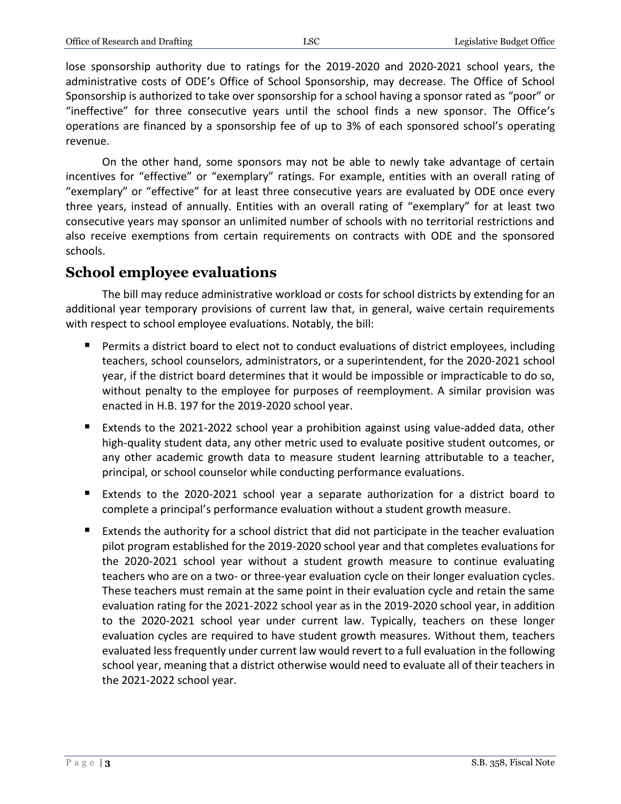lose sponsorship authority due to ratings for the 2019-2020 and 2020-2021 school years, the administrative costs of ODE's Office of School Sponsorship, may decrease. The Office of School Sponsorship is authorized to take over sponsorship for a school having a sponsor rated as "poor" or "ineffective" for three consecutive years until the school finds a new sponsor. The Office's operations are financed by a sponsorship fee of up to 3% of each sponsored school's operating revenue.

On the other hand, some sponsors may not be able to newly take advantage of certain incentives for "effective" or "exemplary" ratings. For example, entities with an overall rating of "exemplary" or "effective" for at least three consecutive years are evaluated by ODE once every three years, instead of annually. Entities with an overall rating of "exemplary" for at least two consecutive years may sponsor an unlimited number of schools with no territorial restrictions and also receive exemptions from certain requirements on contracts with ODE and the sponsored schools.

#### **School employee evaluations**

The bill may reduce administrative workload or costs for school districts by extending for an additional year temporary provisions of current law that, in general, waive certain requirements with respect to school employee evaluations. Notably, the bill:

- **Permits a district board to elect not to conduct evaluations of district employees, including** teachers, school counselors, administrators, or a superintendent, for the 2020-2021 school year, if the district board determines that it would be impossible or impracticable to do so, without penalty to the employee for purposes of reemployment. A similar provision was enacted in H.B. 197 for the 2019-2020 school year.
- Extends to the 2021-2022 school year a prohibition against using value-added data, other high-quality student data, any other metric used to evaluate positive student outcomes, or any other academic growth data to measure student learning attributable to a teacher, principal, or school counselor while conducting performance evaluations.
- Extends to the 2020-2021 school year a separate authorization for a district board to complete a principal's performance evaluation without a student growth measure.
- Extends the authority for a school district that did not participate in the teacher evaluation pilot program established for the 2019-2020 school year and that completes evaluations for the 2020-2021 school year without a student growth measure to continue evaluating teachers who are on a two- or three-year evaluation cycle on their longer evaluation cycles. These teachers must remain at the same point in their evaluation cycle and retain the same evaluation rating for the 2021-2022 school year as in the 2019-2020 school year, in addition to the 2020-2021 school year under current law. Typically, teachers on these longer evaluation cycles are required to have student growth measures. Without them, teachers evaluated less frequently under current law would revert to a full evaluation in the following school year, meaning that a district otherwise would need to evaluate all of their teachers in the 2021-2022 school year.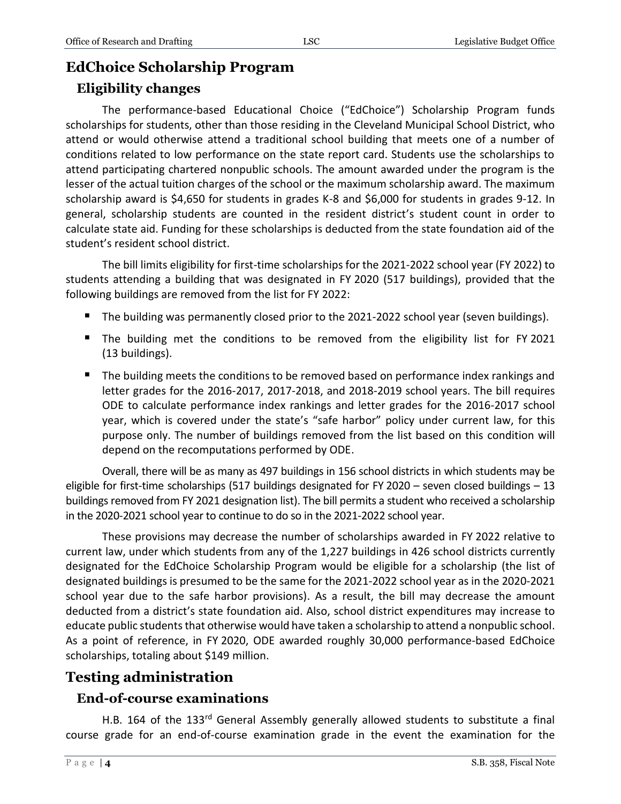# **EdChoice Scholarship Program**

#### **Eligibility changes**

The performance-based Educational Choice ("EdChoice") Scholarship Program funds scholarships for students, other than those residing in the Cleveland Municipal School District, who attend or would otherwise attend a traditional school building that meets one of a number of conditions related to low performance on the state report card. Students use the scholarships to attend participating chartered nonpublic schools. The amount awarded under the program is the lesser of the actual tuition charges of the school or the maximum scholarship award. The maximum scholarship award is \$4,650 for students in grades K-8 and \$6,000 for students in grades 9-12. In general, scholarship students are counted in the resident district's student count in order to calculate state aid. Funding for these scholarships is deducted from the state foundation aid of the student's resident school district.

The bill limits eligibility for first-time scholarships for the 2021-2022 school year (FY 2022) to students attending a building that was designated in FY 2020 (517 buildings), provided that the following buildings are removed from the list for FY 2022:

- The building was permanently closed prior to the 2021-2022 school year (seven buildings).
- The building met the conditions to be removed from the eligibility list for FY 2021 (13 buildings).
- The building meets the conditions to be removed based on performance index rankings and letter grades for the 2016-2017, 2017-2018, and 2018-2019 school years. The bill requires ODE to calculate performance index rankings and letter grades for the 2016-2017 school year, which is covered under the state's "safe harbor" policy under current law, for this purpose only. The number of buildings removed from the list based on this condition will depend on the recomputations performed by ODE.

Overall, there will be as many as 497 buildings in 156 school districts in which students may be eligible for first-time scholarships (517 buildings designated for FY 2020 – seven closed buildings – 13 buildings removed from FY 2021 designation list). The bill permits a student who received a scholarship in the 2020-2021 school year to continue to do so in the 2021-2022 school year.

These provisions may decrease the number of scholarships awarded in FY 2022 relative to current law, under which students from any of the 1,227 buildings in 426 school districts currently designated for the EdChoice Scholarship Program would be eligible for a scholarship (the list of designated buildings is presumed to be the same for the 2021-2022 school year as in the 2020-2021 school year due to the safe harbor provisions). As a result, the bill may decrease the amount deducted from a district's state foundation aid. Also, school district expenditures may increase to educate public students that otherwise would have taken a scholarship to attend a nonpublic school. As a point of reference, in FY 2020, ODE awarded roughly 30,000 performance-based EdChoice scholarships, totaling about \$149 million.

# **Testing administration**

#### **End-of-course examinations**

H.B. 164 of the 133rd General Assembly generally allowed students to substitute a final course grade for an end-of-course examination grade in the event the examination for the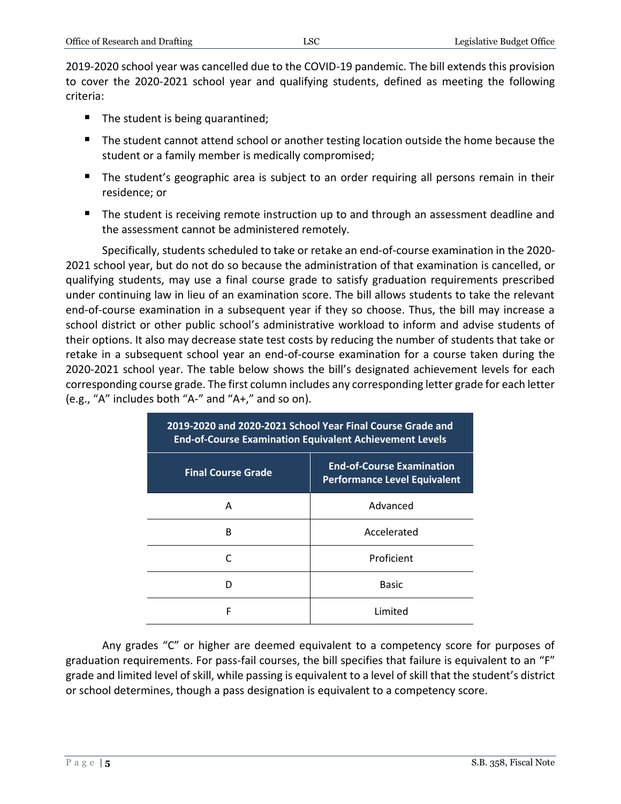2019-2020 school year was cancelled due to the COVID-19 pandemic. The bill extends this provision to cover the 2020-2021 school year and qualifying students, defined as meeting the following criteria:

- The student is being quarantined;
- The student cannot attend school or another testing location outside the home because the student or a family member is medically compromised;
- The student's geographic area is subject to an order requiring all persons remain in their residence; or
- **The student is receiving remote instruction up to and through an assessment deadline and** the assessment cannot be administered remotely.

Specifically, students scheduled to take or retake an end-of-course examination in the 2020- 2021 school year, but do not do so because the administration of that examination is cancelled, or qualifying students, may use a final course grade to satisfy graduation requirements prescribed under continuing law in lieu of an examination score. The bill allows students to take the relevant end-of-course examination in a subsequent year if they so choose. Thus, the bill may increase a school district or other public school's administrative workload to inform and advise students of their options. It also may decrease state test costs by reducing the number of students that take or retake in a subsequent school year an end-of-course examination for a course taken during the 2020-2021 school year. The table below shows the bill's designated achievement levels for each corresponding course grade. The first column includes any corresponding letter grade for each letter (e.g., "A" includes both "A-" and "A+," and so on).

| 2019-2020 and 2020-2021 School Year Final Course Grade and<br><b>End-of-Course Examination Equivalent Achievement Levels</b> |                                                                         |
|------------------------------------------------------------------------------------------------------------------------------|-------------------------------------------------------------------------|
| <b>Final Course Grade</b>                                                                                                    | <b>End-of-Course Examination</b><br><b>Performance Level Equivalent</b> |
| A                                                                                                                            | Advanced                                                                |
| R                                                                                                                            | Accelerated                                                             |
|                                                                                                                              | Proficient                                                              |
|                                                                                                                              | <b>Basic</b>                                                            |
| F                                                                                                                            | Limited                                                                 |

Any grades "C" or higher are deemed equivalent to a competency score for purposes of graduation requirements. For pass-fail courses, the bill specifies that failure is equivalent to an "F" grade and limited level of skill, while passing is equivalent to a level of skill that the student's district or school determines, though a pass designation is equivalent to a competency score.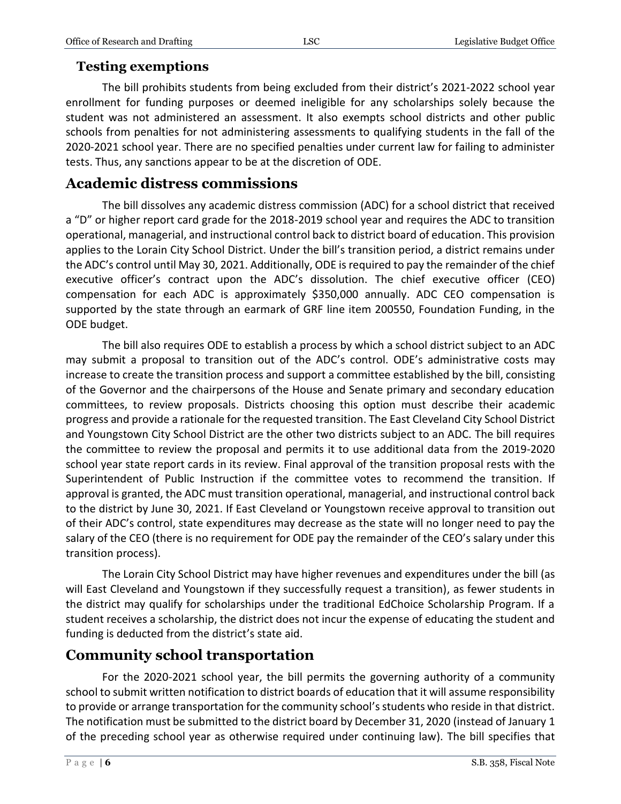#### **Testing exemptions**

The bill prohibits students from being excluded from their district's 2021-2022 school year enrollment for funding purposes or deemed ineligible for any scholarships solely because the student was not administered an assessment. It also exempts school districts and other public schools from penalties for not administering assessments to qualifying students in the fall of the 2020-2021 school year. There are no specified penalties under current law for failing to administer tests. Thus, any sanctions appear to be at the discretion of ODE.

# **Academic distress commissions**

The bill dissolves any academic distress commission (ADC) for a school district that received a "D" or higher report card grade for the 2018-2019 school year and requires the ADC to transition operational, managerial, and instructional control back to district board of education. This provision applies to the Lorain City School District. Under the bill's transition period, a district remains under the ADC's control until May 30, 2021. Additionally, ODE is required to pay the remainder of the chief executive officer's contract upon the ADC's dissolution. The chief executive officer (CEO) compensation for each ADC is approximately \$350,000 annually. ADC CEO compensation is supported by the state through an earmark of GRF line item 200550, Foundation Funding, in the ODE budget.

The bill also requires ODE to establish a process by which a school district subject to an ADC may submit a proposal to transition out of the ADC's control. ODE's administrative costs may increase to create the transition process and support a committee established by the bill, consisting of the Governor and the chairpersons of the House and Senate primary and secondary education committees, to review proposals. Districts choosing this option must describe their academic progress and provide a rationale for the requested transition. The East Cleveland City School District and Youngstown City School District are the other two districts subject to an ADC. The bill requires the committee to review the proposal and permits it to use additional data from the 2019-2020 school year state report cards in its review. Final approval of the transition proposal rests with the Superintendent of Public Instruction if the committee votes to recommend the transition. If approval is granted, the ADC must transition operational, managerial, and instructional control back to the district by June 30, 2021. If East Cleveland or Youngstown receive approval to transition out of their ADC's control, state expenditures may decrease as the state will no longer need to pay the salary of the CEO (there is no requirement for ODE pay the remainder of the CEO's salary under this transition process).

The Lorain City School District may have higher revenues and expenditures under the bill (as will East Cleveland and Youngstown if they successfully request a transition), as fewer students in the district may qualify for scholarships under the traditional EdChoice Scholarship Program. If a student receives a scholarship, the district does not incur the expense of educating the student and funding is deducted from the district's state aid.

### **Community school transportation**

For the 2020-2021 school year, the bill permits the governing authority of a community school to submit written notification to district boards of education that it will assume responsibility to provide or arrange transportation for the community school's students who reside in that district. The notification must be submitted to the district board by December 31, 2020 (instead of January 1 of the preceding school year as otherwise required under continuing law). The bill specifies that